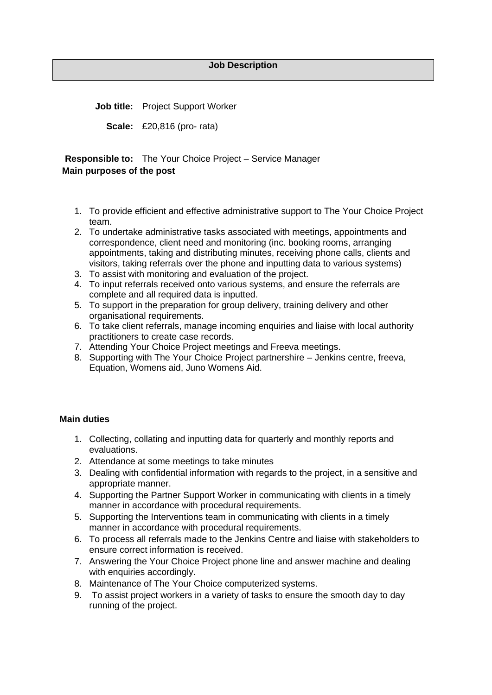**Job title:** Project Support Worker

**Scale:** £20,816 (pro- rata)

**Responsible to:** The Your Choice Project – Service Manager **Main purposes of the post**

- 1. To provide efficient and effective administrative support to The Your Choice Project team.
- 2. To undertake administrative tasks associated with meetings, appointments and correspondence, client need and monitoring (inc. booking rooms, arranging appointments, taking and distributing minutes, receiving phone calls, clients and visitors, taking referrals over the phone and inputting data to various systems)
- 3. To assist with monitoring and evaluation of the project.
- 4. To input referrals received onto various systems, and ensure the referrals are complete and all required data is inputted.
- 5. To support in the preparation for group delivery, training delivery and other organisational requirements.
- 6. To take client referrals, manage incoming enquiries and liaise with local authority practitioners to create case records.
- 7. Attending Your Choice Project meetings and Freeva meetings.
- 8. Supporting with The Your Choice Project partnershire Jenkins centre, freeva, Equation, Womens aid, Juno Womens Aid.

## **Main duties**

- 1. Collecting, collating and inputting data for quarterly and monthly reports and evaluations.
- 2. Attendance at some meetings to take minutes
- 3. Dealing with confidential information with regards to the project, in a sensitive and appropriate manner.
- 4. Supporting the Partner Support Worker in communicating with clients in a timely manner in accordance with procedural requirements.
- 5. Supporting the Interventions team in communicating with clients in a timely manner in accordance with procedural requirements.
- 6. To process all referrals made to the Jenkins Centre and liaise with stakeholders to ensure correct information is received.
- 7. Answering the Your Choice Project phone line and answer machine and dealing with enquiries accordingly.
- 8. Maintenance of The Your Choice computerized systems.
- 9. To assist project workers in a variety of tasks to ensure the smooth day to day running of the project.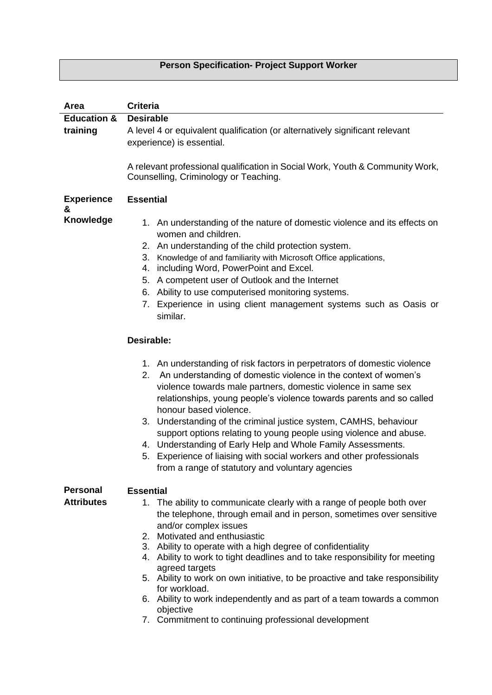## **Person Specification- Project Support Worker**

| Area                   | <b>Criteria</b>                                                                                                                                                                                                                                                                                                                                                                                   |
|------------------------|---------------------------------------------------------------------------------------------------------------------------------------------------------------------------------------------------------------------------------------------------------------------------------------------------------------------------------------------------------------------------------------------------|
| <b>Education &amp;</b> | <b>Desirable</b>                                                                                                                                                                                                                                                                                                                                                                                  |
| training               | A level 4 or equivalent qualification (or alternatively significant relevant                                                                                                                                                                                                                                                                                                                      |
|                        | experience) is essential.                                                                                                                                                                                                                                                                                                                                                                         |
|                        |                                                                                                                                                                                                                                                                                                                                                                                                   |
|                        | A relevant professional qualification in Social Work, Youth & Community Work,<br>Counselling, Criminology or Teaching.                                                                                                                                                                                                                                                                            |
| <b>Experience</b><br>& | <b>Essential</b>                                                                                                                                                                                                                                                                                                                                                                                  |
| Knowledge              | 1. An understanding of the nature of domestic violence and its effects on<br>women and children.                                                                                                                                                                                                                                                                                                  |
|                        | 2. An understanding of the child protection system.                                                                                                                                                                                                                                                                                                                                               |
|                        | 3.<br>Knowledge of and familiarity with Microsoft Office applications,                                                                                                                                                                                                                                                                                                                            |
|                        | including Word, PowerPoint and Excel.<br>4.                                                                                                                                                                                                                                                                                                                                                       |
|                        | A competent user of Outlook and the Internet<br>5.                                                                                                                                                                                                                                                                                                                                                |
|                        | Ability to use computerised monitoring systems.<br>6.                                                                                                                                                                                                                                                                                                                                             |
|                        | Experience in using client management systems such as Oasis or<br>7.<br>similar.                                                                                                                                                                                                                                                                                                                  |
|                        | Desirable:                                                                                                                                                                                                                                                                                                                                                                                        |
|                        | 1. An understanding of risk factors in perpetrators of domestic violence<br>2. An understanding of domestic violence in the context of women's<br>violence towards male partners, domestic violence in same sex<br>relationships, young people's violence towards parents and so called<br>honour based violence.                                                                                 |
|                        | 3. Understanding of the criminal justice system, CAMHS, behaviour                                                                                                                                                                                                                                                                                                                                 |
|                        | support options relating to young people using violence and abuse.<br>4. Understanding of Early Help and Whole Family Assessments.                                                                                                                                                                                                                                                                |
|                        | Experience of liaising with social workers and other professionals<br>5.<br>from a range of statutory and voluntary agencies                                                                                                                                                                                                                                                                      |
| <b>Personal</b>        | <b>Essential</b>                                                                                                                                                                                                                                                                                                                                                                                  |
| <b>Attributes</b>      | 1. The ability to communicate clearly with a range of people both over                                                                                                                                                                                                                                                                                                                            |
|                        | the telephone, through email and in person, sometimes over sensitive<br>and/or complex issues<br>2. Motivated and enthusiastic<br>3. Ability to operate with a high degree of confidentiality<br>4. Ability to work to tight deadlines and to take responsibility for meeting<br>agreed targets<br>5. Ability to work on own initiative, to be proactive and take responsibility<br>for workload. |
|                        | 6. Ability to work independently and as part of a team towards a common                                                                                                                                                                                                                                                                                                                           |
|                        | objective                                                                                                                                                                                                                                                                                                                                                                                         |

7. Commitment to continuing professional development